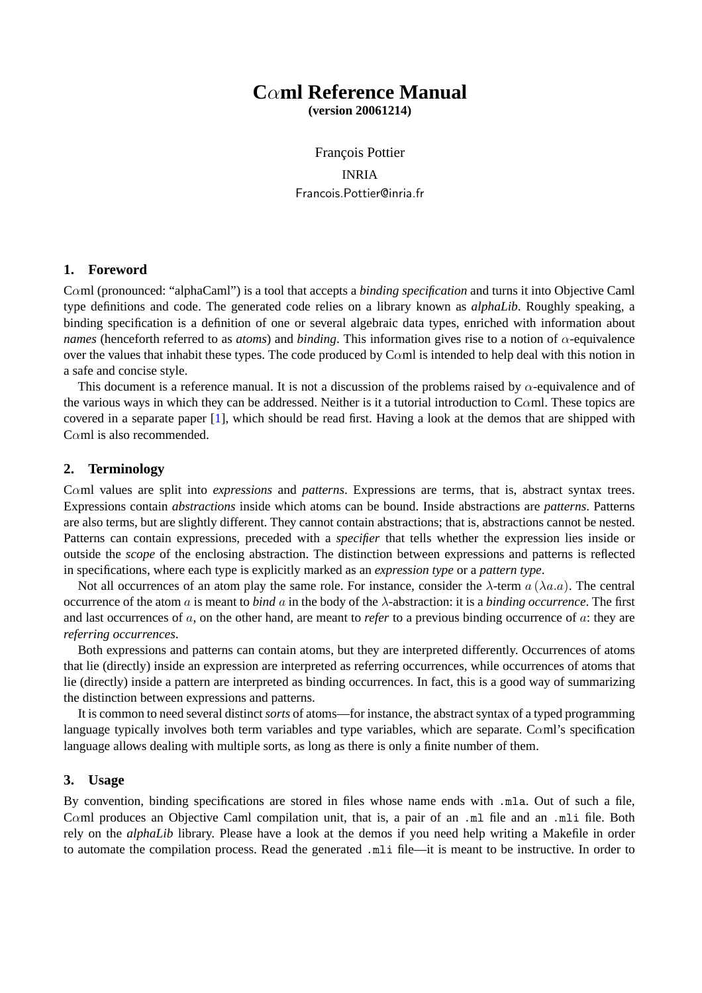# **C**α**ml Reference Manual**

**(version 20061214)**

François Pottier INRIA Francois.Pottier@inria.fr

### **1. Foreword**

Cαml (pronounced: "alphaCaml") is a tool that accepts a *binding specification* and turns it into Objective Caml type definitions and code. The generated code relies on a library known as *alphaLib*. Roughly speaking, a binding specification is a definition of one or several algebraic data types, enriched with information about *names* (henceforth referred to as *atoms*) and *binding*. This information gives rise to a notion of  $\alpha$ -equivalence over the values that inhabit these types. The code produced by Caml is intended to help deal with this notion in a safe and concise style.

This document is a reference manual. It is not a discussion of the problems raised by  $\alpha$ -equivalence and of the various ways in which they can be addressed. Neither is it a tutorial introduction to C $\alpha$ ml. These topics are covered in a separate paper [1], which should be read first. Having a look at the demos that are shipped with Cαml is also recommended.

### **2. Terminology**

Cαml values are split into *expressions* and *patterns*. Expressions are terms, that is, abstract syntax trees. Expressions contain *abstractions* inside which atoms can be bound. Inside abstractions are *patterns*. Patterns are also terms, but are slightly different. They cannot contain abstractions; that is, abstractions cannot be nested. Patterns can contain expressions, preceded with a *specifier* that tells whether the expression lies inside or outside the *scope* of the enclosing abstraction. The distinction between expressions and patterns is reflected in specifications, where each type is explicitly marked as an *expression type* or a *pattern type*.

Not all occurrences of an atom play the same role. For instance, consider the  $\lambda$ -term  $a(\lambda a.a)$ . The central occurrence of the atom a is meant to *bind* a in the body of the λ-abstraction: it is a *binding occurrence*. The first and last occurrences of a, on the other hand, are meant to *refer* to a previous binding occurrence of a: they are *referring occurrences*.

Both expressions and patterns can contain atoms, but they are interpreted differently. Occurrences of atoms that lie (directly) inside an expression are interpreted as referring occurrences, while occurrences of atoms that lie (directly) inside a pattern are interpreted as binding occurrences. In fact, this is a good way of summarizing the distinction between expressions and patterns.

It is common to need several distinct*sorts* of atoms—for instance, the abstract syntax of a typed programming language typically involves both term variables and type variables, which are separate. Cαml's specification language allows dealing with multiple sorts, as long as there is only a finite number of them.

### **3. Usage**

By convention, binding specifications are stored in files whose name ends with .mla. Out of such a file, Cαml produces an Objective Caml compilation unit, that is, a pair of an .ml file and an .mli file. Both rely on the *alphaLib* library. Please have a look at the demos if you need help writing a Makefile in order to automate the compilation process. Read the generated .mli file—it is meant to be instructive. In order to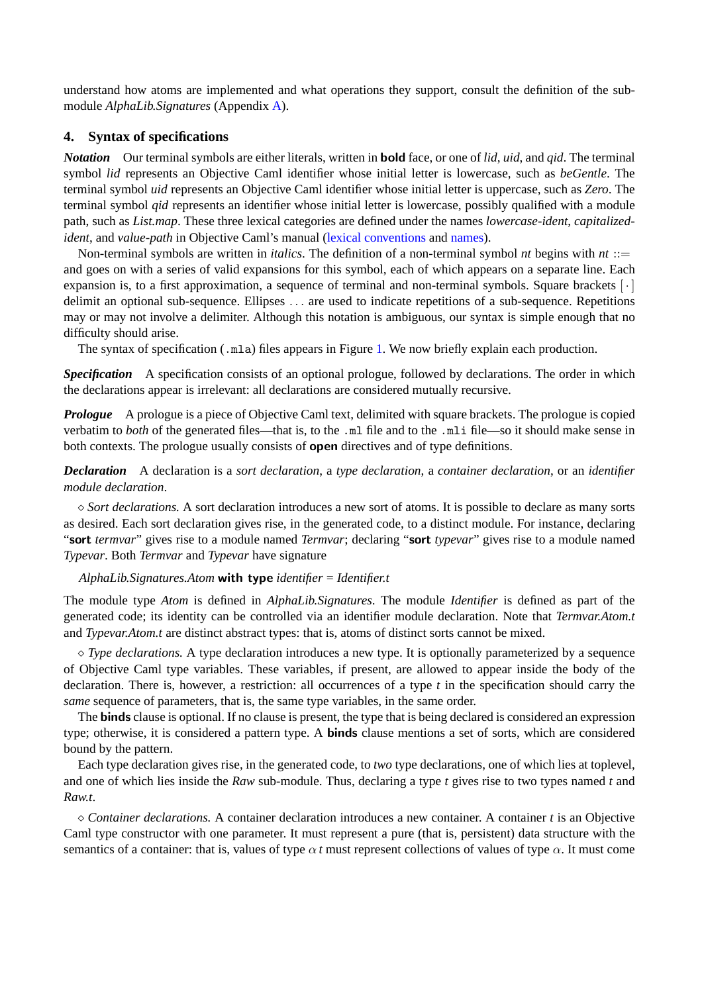understand how atoms are implemented and what operations they support, consult the definition of the submodule *AlphaLib.Signatures* (Appendix A).

# **4. Syntax of specifications**

*Notation* Our terminal symbols are eit[her](#page-8-0) literals, written in bold face, or one of *lid*, *uid*, and *qid*. The terminal symbol *lid* represents an Objective Caml identifier whose initial letter is lowercase, such as *beGentle*. The terminal symbol *uid* represents an Objective Caml identifier whose initial letter is uppercase, such as *Zero*. The terminal symbol *qid* represents an identifier whose initial letter is lowercase, possibly qualified with a module path, such as *List.map*. These three lexical categories are defined under the names *lowercase-ident*, *capitalizedident*, and *value-path* in Objective Caml's manual (lexical conventions and names).

Non-terminal symbols are written in *italics*. The definition of a non-terminal symbol *nt* begins with *nt* ::= and goes on with a series of valid expansions for this symbol, each of which appears on a separate line. Each expansion is, to a first approximation, a sequence of terminal and non-terminal symbols. Square brackets  $[\cdot]$ delimit an optional sub-sequence. Ellipses . . . are [used to indicate rep](http://caml.inria.fr/pub/docs/manual-ocaml/manual009.html)etit[ions of](http://caml.inria.fr/pub/docs/manual-ocaml/manual011.html) a sub-sequence. Repetitions may or may not involve a delimiter. Although this notation is ambiguous, our syntax is simple enough that no difficulty should arise.

The syntax of specification ( $\ldots$ mla) files appears in Figure 1. We now briefly explain each production.

*Specification* A specification consists of an optional prologue, followed by declarations. The order in which the declarations appear is irrelevant: all declarations are considered mutually recursive.

*Prologue* A prologue is a piece of Objective Caml text, del[im](#page-2-0)ited with square brackets. The prologue is copied verbatim to *both* of the generated files—that is, to the .ml file and to the .mli file—so it should make sense in both contexts. The prologue usually consists of open directives and of type definitions.

*Declaration* A declaration is a *sort declaration*, a *type declaration*, a *container declaration*, or an *identifier module declaration*.

 $\Diamond$  *Sort declarations.* A sort declaration introduces a new sort of atoms. It is possible to declare as many sorts as desired. Each sort declaration gives rise, in the generated code, to a distinct module. For instance, declaring "sort *termvar*" gives rise to a module named *Termvar*; declaring "sort *typevar*" gives rise to a module named *Typevar*. Both *Termvar* and *Typevar* have signature

### *AlphaLib.Signatures.Atom* with type *identifier* = *Identifier.t*

The module type *Atom* is defined in *AlphaLib.Signatures*. The module *Identifier* is defined as part of the generated code; its identity can be controlled via an identifier module declaration. Note that *Termvar.Atom.t* and *Typevar.Atom.t* are distinct abstract types: that is, atoms of distinct sorts cannot be mixed.

 $\Diamond$  *Type declarations.* A type declaration introduces a new type. It is optionally parameterized by a sequence of Objective Caml type variables. These variables, if present, are allowed to appear inside the body of the declaration. There is, however, a restriction: all occurrences of a type *t* in the specification should carry the *same* sequence of parameters, that is, the same type variables, in the same order.

The **binds** clause is optional. If no clause is present, the type that is being declared is considered an expression type; otherwise, it is considered a pattern type. A binds clause mentions a set of sorts, which are considered bound by the pattern.

Each type declaration gives rise, in the generated code, to *two* type declarations, one of which lies at toplevel, and one of which lies inside the *Raw* sub-module. Thus, declaring a type *t* gives rise to two types named *t* and *Raw.t*.

 $\Diamond$  *Container declarations.* A container declaration introduces a new container. A container t is an Objective Caml type constructor with one parameter. It must represent a pure (that is, persistent) data structure with the semantics of a container: that is, values of type  $\alpha t$  must represent collections of values of type  $\alpha$ . It must come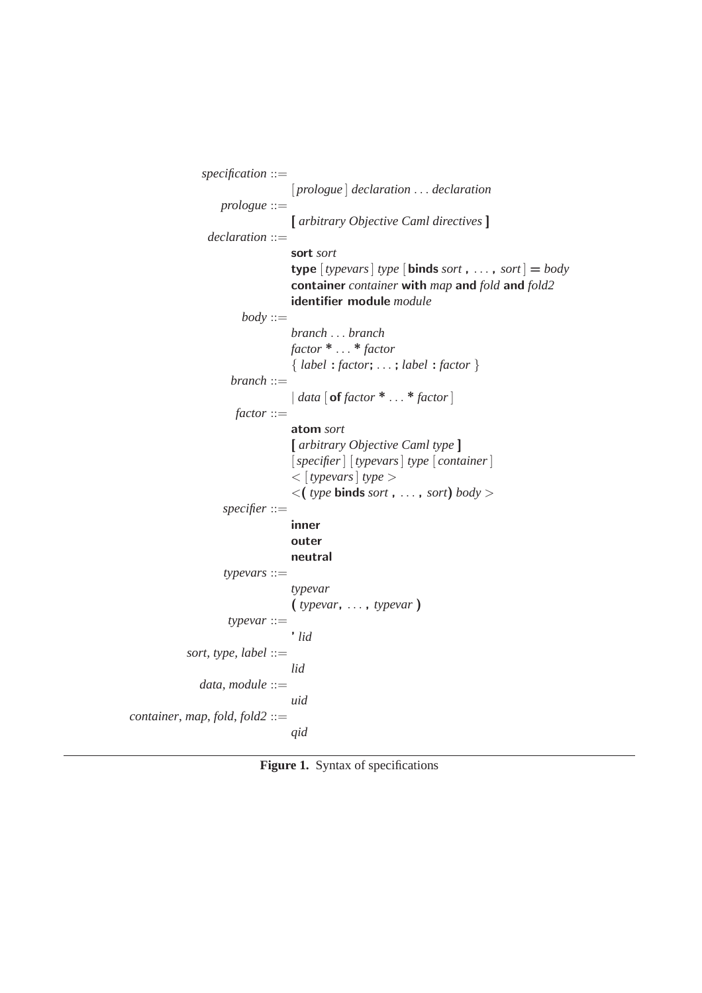```
specification ::=
                                  [ prologue ] declaration . . . declaration
                   prologue ::=
                                  [ arbitrary Objective Caml directives ]
                declaration ::=
                                  sort sort
                                  type [<i>type</i> | <i>type</i> | <i>type</i> | <b>binds</b> <i>sort</i> , ..., <i>sort</i> | = <i>body</i>container container with map and fold and fold2
                                  identifier module module
                        \textit{body} ::=branch . . . branch
                                  factor * . . . * factor
                                  { label : factor; . . . ; label : factor }
                     branch ::=
                                  | data [ of factor * . . . * factor]
                      factor ::=
                                  atom sort
                                  [ arbitrary Objective Caml type ]
                                   [specifier] [ typevars] type [ container]
                                   < [ typevars] type >
                                   \langle (type binds sort, ..., sort) body >
                    specifier ::=
                                  inner
                                  outer
                                  neutral
                    typevars ::=
                                  typevar
                                  ( typevar, . . . , typevar )
                     typevar ::=
                                   ' lid
            sort, type, label ::=
                                  lid
               data, module ::=
                                  uid
container, map, fold, fold2 ::=
                                  qid
```
Figure 1. Syntax of specifications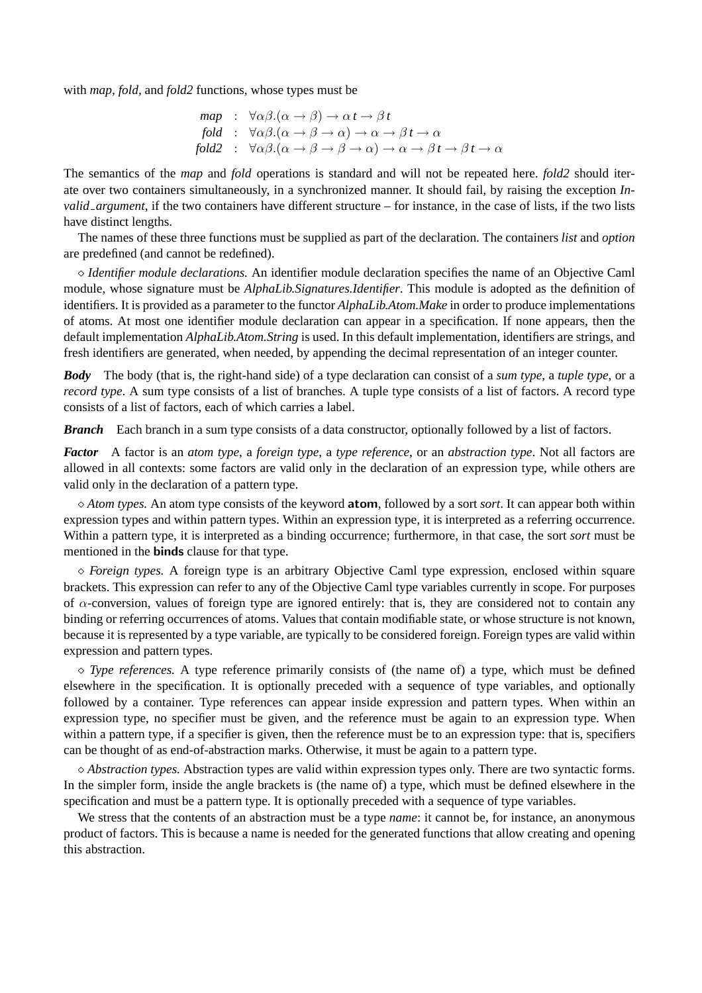with *map*, *fold*, and *fold2* functions, whose types must be

$$
\begin{array}{ll}\n\text{map} & \colon \forall \alpha \beta. (\alpha \to \beta) \to \alpha \, t \to \beta \, t \\
\text{fold} & \colon \forall \alpha \beta. (\alpha \to \beta \to \alpha) \to \alpha \to \beta \, t \to \alpha \\
\text{fold2} & \colon \forall \alpha \beta. (\alpha \to \beta \to \beta \to \alpha) \to \alpha \to \beta \, t \to \beta \, t \to \alpha\n\end{array}
$$

The semantics of the *map* and *fold* operations is standard and will not be repeated here. *fold2* should iterate over two containers simultaneously, in a synchronized manner. It should fail, by raising the exception *Invalid argument*, if the two containers have different structure – for instance, in the case of lists, if the two lists have distinct lengths.

The names of these three functions must be supplied as part of the declaration. The containers *list* and *option* are predefined (and cannot be redefined).

¦ *Identifier module declarations.* An identifier module declaration specifies the name of an Objective Caml module, whose signature must be *AlphaLib.Signatures.Identifier*. This module is adopted as the definition of identifiers. It is provided as a parameter to the functor *AlphaLib.Atom.Make* in order to produce implementations of atoms. At most one identifier module declaration can appear in a specification. If none appears, then the default implementation *AlphaLib.Atom.String* is used. In this default implementation, identifiers are strings, and fresh identifiers are generated, when needed, by appending the decimal representation of an integer counter.

*Body* The body (that is, the right-hand side) of a type declaration can consist of a *sum type*, a *tuple type*, or a *record type*. A sum type consists of a list of branches. A tuple type consists of a list of factors. A record type consists of a list of factors, each of which carries a label.

*Branch* Each branch in a sum type consists of a data constructor, optionally followed by a list of factors.

*Factor* A factor is an *atom type*, a *foreign type*, a *type reference*, or an *abstraction type*. Not all factors are allowed in all contexts: some factors are valid only in the declaration of an expression type, while others are valid only in the declaration of a pattern type.

 $\Diamond$  *Atom types.* An atom type consists of the keyword **atom**, followed by a sort *sort*. It can appear both within expression types and within pattern types. Within an expression type, it is interpreted as a referring occurrence. Within a pattern type, it is interpreted as a binding occurrence; furthermore, in that case, the sort *sort* must be mentioned in the binds clause for that type.

 $\Diamond$  *Foreign types.* A foreign type is an arbitrary Objective Caml type expression, enclosed within square brackets. This expression can refer to any of the Objective Caml type variables currently in scope. For purposes of  $\alpha$ -conversion, values of foreign type are ignored entirely: that is, they are considered not to contain any binding or referring occurrences of atoms. Values that contain modifiable state, or whose structure is not known, because it is represented by a type variable, are typically to be considered foreign. Foreign types are valid within expression and pattern types.

 $\Diamond$  *Type references.* A type reference primarily consists of (the name of) a type, which must be defined elsewhere in the specification. It is optionally preceded with a sequence of type variables, and optionally followed by a container. Type references can appear inside expression and pattern types. When within an expression type, no specifier must be given, and the reference must be again to an expression type. When within a pattern type, if a specifier is given, then the reference must be to an expression type: that is, specifiers can be thought of as end-of-abstraction marks. Otherwise, it must be again to a pattern type.

 $\diamond$  *Abstraction types.* Abstraction types are valid within expression types only. There are two syntactic forms. In the simpler form, inside the angle brackets is (the name of) a type, which must be defined elsewhere in the specification and must be a pattern type. It is optionally preceded with a sequence of type variables.

We stress that the contents of an abstraction must be a type *name*: it cannot be, for instance, an anonymous product of factors. This is because a name is needed for the generated functions that allow creating and opening this abstraction.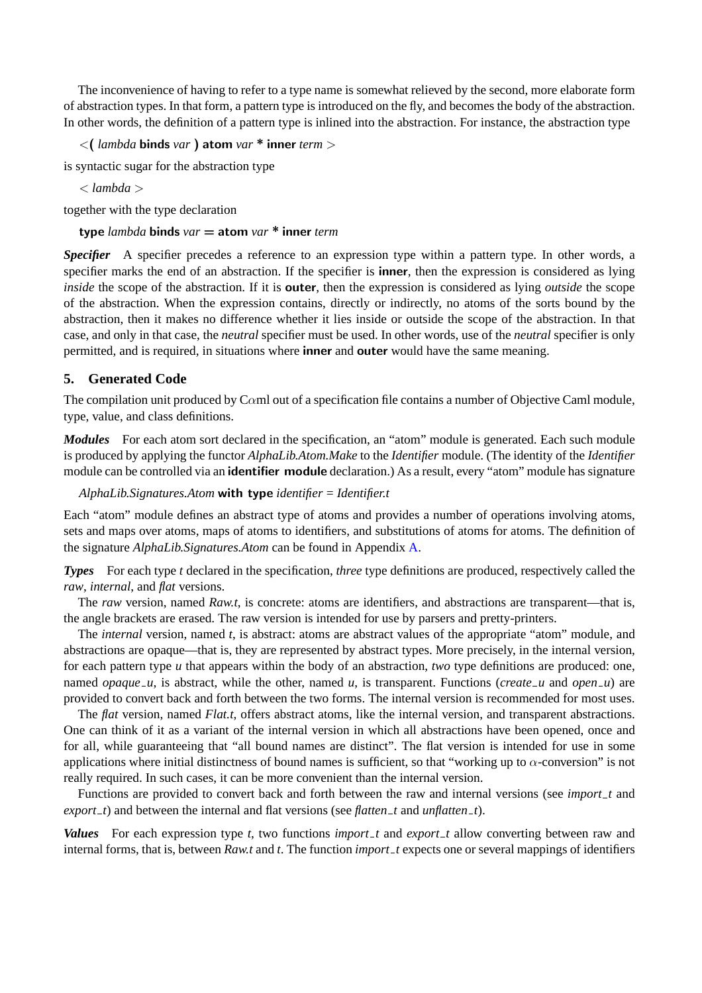The inconvenience of having to refer to a type name is somewhat relieved by the second, more elaborate form of abstraction types. In that form, a pattern type is introduced on the fly, and becomes the body of the abstraction. In other words, the definition of a pattern type is inlined into the abstraction. For instance, the abstraction type

<( *lambda* binds *var* ) atom *var* \* inner *term* >

is syntactic sugar for the abstraction type

< *lambda* >

together with the type declaration

type *lambda* binds *var* = atom *var* \* inner *term*

**Specifier** A specifier precedes a reference to an expression type within a pattern type. In other words, a specifier marks the end of an abstraction. If the specifier is **inner**, then the expression is considered as lying *inside* the scope of the abstraction. If it is **outer**, then the expression is considered as lying *outside* the scope of the abstraction. When the expression contains, directly or indirectly, no atoms of the sorts bound by the abstraction, then it makes no difference whether it lies inside or outside the scope of the abstraction. In that case, and only in that case, the *neutral* specifier must be used. In other words, use of the *neutral* specifier is only permitted, and is required, in situations where inner and outer would have the same meaning.

# **5. Generated Code**

The compilation unit produced by C $\alpha$ ml out of a specification file contains a number of Objective Caml module, type, value, and class definitions.

*Modules* For each atom sort declared in the specification, an "atom" module is generated. Each such module is produced by applying the functor *AlphaLib.Atom.Make* to the *Identifier* module. (The identity of the *Identifier* module can be controlled via an **identifier module** declaration.) As a result, every "atom" module has signature

*AlphaLib.Signatures.Atom* with type *identifier* = *Identifier.t*

Each "atom" module defines an abstract type of atoms and provides a number of operations involving atoms, sets and maps over atoms, maps of atoms to identifiers, and substitutions of atoms for atoms. The definition of the signature *AlphaLib.Signatures.Atom* can be found in Appendix A.

*Types* For each type *t* declared in the specification, *three* type definitions are produced, respectively called the *raw*, *internal*, and *flat* versions.

The *raw* version, named *Raw.t*, is concrete: atoms are identifie[rs,](#page-8-0) and abstractions are transparent—that is, the angle brackets are erased. The raw version is intended for use by parsers and pretty-printers.

The *internal* version, named *t*, is abstract: atoms are abstract values of the appropriate "atom" module, and abstractions are opaque—that is, they are represented by abstract types. More precisely, in the internal version, for each pattern type *u* that appears within the body of an abstraction, *two* type definitions are produced: one, named *opaque u*, is abstract, while the other, named *u*, is transparent. Functions (*create u* and *open u*) are provided to convert back and forth between the two forms. The internal version is recommended for most uses.

The *flat* version, named *Flat.t*, offers abstract atoms, like the internal version, and transparent abstractions. One can think of it as a variant of the internal version in which all abstractions have been opened, once and for all, while guaranteeing that "all bound names are distinct". The flat version is intended for use in some applications where initial distinctness of bound names is sufficient, so that "working up to  $\alpha$ -conversion" is not really required. In such cases, it can be more convenient than the internal version.

Functions are provided to convert back and forth between the raw and internal versions (see *import t* and *export t*) and between the internal and flat versions (see *flatten t* and *unflatten t*).

*Values* For each expression type *t*, two functions *import t* and *export t* allow converting between raw and internal forms, that is, between *Raw.t* and *t*. The function *import t* expects one or several mappings of identifiers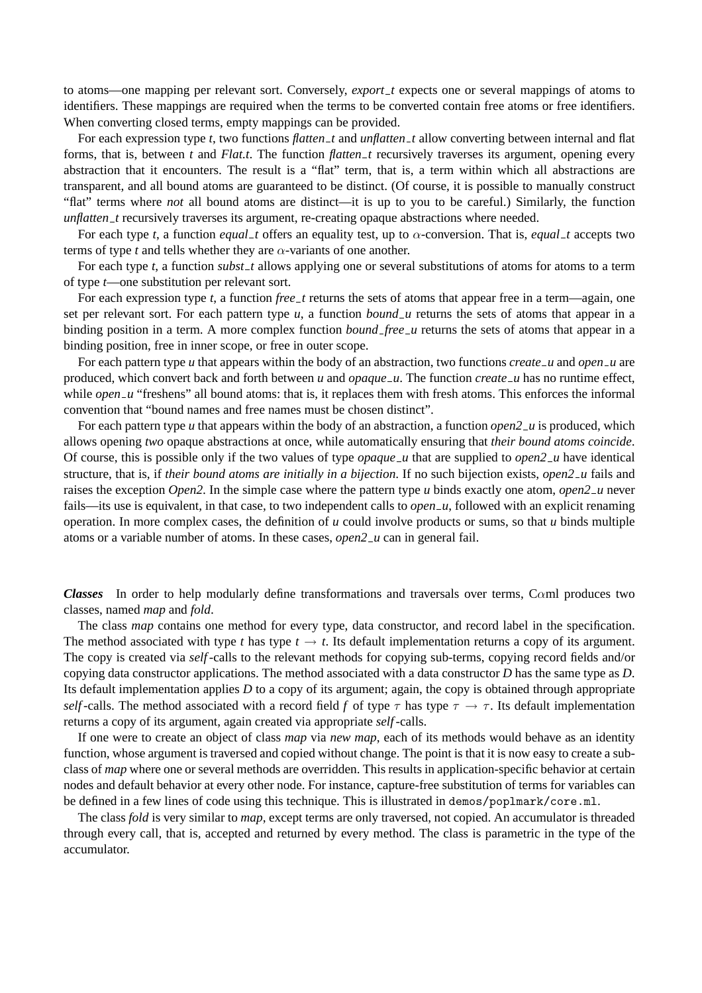to atoms—one mapping per relevant sort. Conversely, *export t* expects one or several mappings of atoms to identifiers. These mappings are required when the terms to be converted contain free atoms or free identifiers. When converting closed terms, empty mappings can be provided.

For each expression type *t*, two functions *flatten t* and *unflatten t* allow converting between internal and flat forms, that is, between *t* and *Flat.t*. The function *flatten t* recursively traverses its argument, opening every abstraction that it encounters. The result is a "flat" term, that is, a term within which all abstractions are transparent, and all bound atoms are guaranteed to be distinct. (Of course, it is possible to manually construct "flat" terms where *not* all bound atoms are distinct—it is up to you to be careful.) Similarly, the function *unflatten\_t* recursively traverses its argument, re-creating opaque abstractions where needed.

For each type *t*, a function *equal\_t* offers an equality test, up to  $\alpha$ -conversion. That is, *equal\_t* accepts two terms of type *t* and tells whether they are  $\alpha$ -variants of one another.

For each type *t*, a function *subst\_t* allows applying one or several substitutions of atoms for atoms to a term of type *t*—one substitution per relevant sort.

For each expression type *t*, a function *free t* returns the sets of atoms that appear free in a term—again, one set per relevant sort. For each pattern type  $u$ , a function *bound*  $u$  returns the sets of atoms that appear in a binding position in a term. A more complex function *bound\_free\_u* returns the sets of atoms that appear in a binding position, free in inner scope, or free in outer scope.

For each pattern type *u* that appears within the body of an abstraction, two functions *create*  $\mu$  and *open*  $\mu$  are produced, which convert back and forth between *u* and *opaque u*. The function *create u* has no runtime effect, while *open u* "freshens" all bound atoms: that is, it replaces them with fresh atoms. This enforces the informal convention that "bound names and free names must be chosen distinct".

For each pattern type *u* that appears within the body of an abstraction, a function *open2 u* is produced, which allows opening *two* opaque abstractions at once, while automatically ensuring that *their bound atoms coincide*. Of course, this is possible only if the two values of type *opaque u* that are supplied to *open2 u* have identical structure, that is, if *their bound atoms are initially in a bijection*. If no such bijection exists, *open2 u* fails and raises the exception *Open2*. In the simple case where the pattern type *u* binds exactly one atom, *open2 u* never fails—its use is equivalent, in that case, to two independent calls to *open u*, followed with an explicit renaming operation. In more complex cases, the definition of *u* could involve products or sums, so that *u* binds multiple atoms or a variable number of atoms. In these cases, *open2 u* can in general fail.

*Classes* In order to help modularly define transformations and traversals over terms, Cαml produces two classes, named *map* and *fold*.

The class *map* contains one method for every type, data constructor, and record label in the specification. The method associated with type *t* has type  $t \to t$ . Its default implementation returns a copy of its argument. The copy is created via *self*-calls to the relevant methods for copying sub-terms, copying record fields and/or copying data constructor applications. The method associated with a data constructor *D* has the same type as *D*. Its default implementation applies *D* to a copy of its argument; again, the copy is obtained through appropriate *self*-calls. The method associated with a record field *f* of type  $\tau$  has type  $\tau \to \tau$ . Its default implementation returns a copy of its argument, again created via appropriate *self*-calls.

If one were to create an object of class *map* via *new map*, each of its methods would behave as an identity function, whose argument is traversed and copied without change. The point is that it is now easy to create a subclass of *map* where one or several methods are overridden. This results in application-specific behavior at certain nodes and default behavior at every other node. For instance, capture-free substitution of terms for variables can be defined in a few lines of code using this technique. This is illustrated in demos/poplmark/core.ml.

The class *fold* is very similar to *map*, except terms are only traversed, not copied. An accumulator is threaded through every call, that is, accepted and returned by every method. The class is parametric in the type of the accumulator.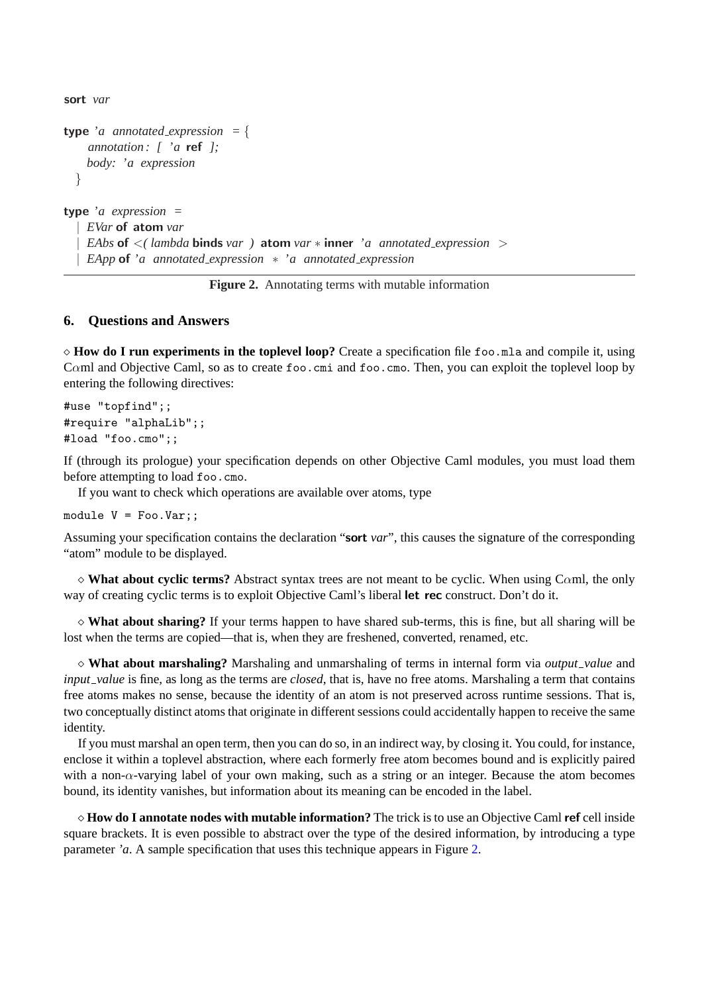sort *var*

```
type 'a annotated_expression = {
    annotation : [ 'a ref ];
    body: 'a expression
  }
type 'a expression =
   | EVar of atom var
   | EAbs of <( lambda binds var ) atom var ∗ inner 'a annotated expression >
   | EApp of 'a annotated expression ∗ 'a annotated expression
```


# **6. Questions and Answers**

 $\Diamond$  **How do I run experiments in the toplevel loop?** Create a specification file foo.mla and compile it, using Cαml and Objective Caml, so as to create foo.cmi and foo.cmo. Then, you can exploit the toplevel loop by entering the following directives:

```
#use "topfind";;
#require "alphaLib";;
#load "foo.cmo";;
```
If (through its prologue) your specification depends on other Objective Caml modules, you must load them before attempting to load foo.cmo.

If you want to check which operations are available over atoms, type

module  $V = Foo.Var$ ;

Assuming your specification contains the declaration "sort *var*", this causes the signature of the corresponding "atom" module to be displayed.

 $\Diamond$  **What about cyclic terms?** Abstract syntax trees are not meant to be cyclic. When using C $\alpha$ ml, the only way of creating cyclic terms is to exploit Objective Caml's liberal let rec construct. Don't do it.

 $\Diamond$  **What about sharing?** If your terms happen to have shared sub-terms, this is fine, but all sharing will be lost when the terms are copied—that is, when they are freshened, converted, renamed, etc.

¦ **What about marshaling?** Marshaling and unmarshaling of terms in internal form via *output value* and *input* value is fine, as long as the terms are *closed*, that is, have no free atoms. Marshaling a term that contains free atoms makes no sense, because the identity of an atom is not preserved across runtime sessions. That is, two conceptually distinct atoms that originate in different sessions could accidentally happen to receive the same identity.

If you must marshal an open term, then you can do so, in an indirect way, by closing it. You could, for instance, enclose it within a toplevel abstraction, where each formerly free atom becomes bound and is explicitly paired with a non- $\alpha$ -varying label of your own making, such as a string or an integer. Because the atom becomes bound, its identity vanishes, but information about its meaning can be encoded in the label.

¦ **How do I annotate nodes with mutable information?** The trick is to use an Objective Caml ref cell inside square brackets. It is even possible to abstract over the type of the desired information, by introducing a type parameter *'a*. A sample specification that uses this technique appears in Figure 2.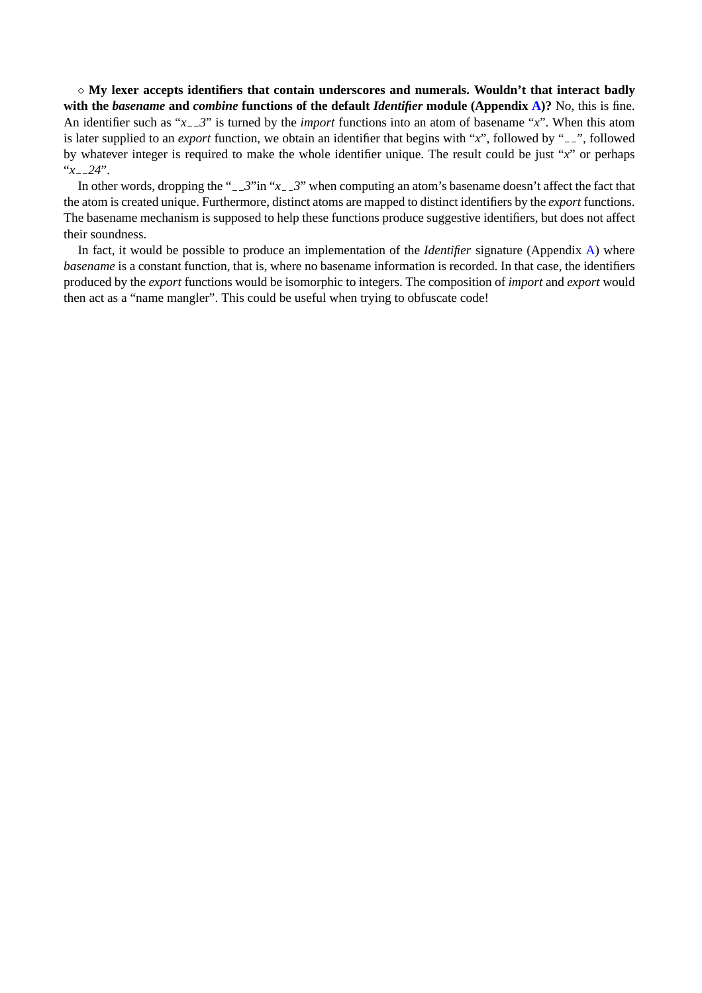$\Diamond$  My lexer accepts identifiers that contain underscores and numerals. Wouldn't that interact badly **with the** *basename* **and** *combine* **functions of the default** *Identifier* **module (Appendix A)?** No, this is fine. An identifier such as "*x*<sub>--</sub>3" is turned by the *import* functions into an atom of basename "*x*". When this atom is later supplied to an *export* function, we obtain an identifier that begins with "*x*", followed by "<sub>--</sub>", followed by whatever integer is required to make the whole identifier unique. The result could b[e ju](#page-8-0)st "*x*" or perhaps " $x = 24$ ".

In other words, dropping the "-3" in " $x$ -3" when computing an atom's basename doesn't affect the fact that the atom is created unique. Furthermore, distinct atoms are mapped to distinct identifiers by the *export* functions. The basename mechanism is supposed to help these functions produce suggestive identifiers, but does not affect their soundness.

In fact, it would be possible to produce an implementation of the *Identifier* signature (Appendix A) where *basename* is a constant function, that is, where no basename information is recorded. In that case, the identifiers produced by the *export* functions would be isomorphic to integers. The composition of *import* and *export* would then act as a "name mangler". This could be useful when trying to obfuscate code!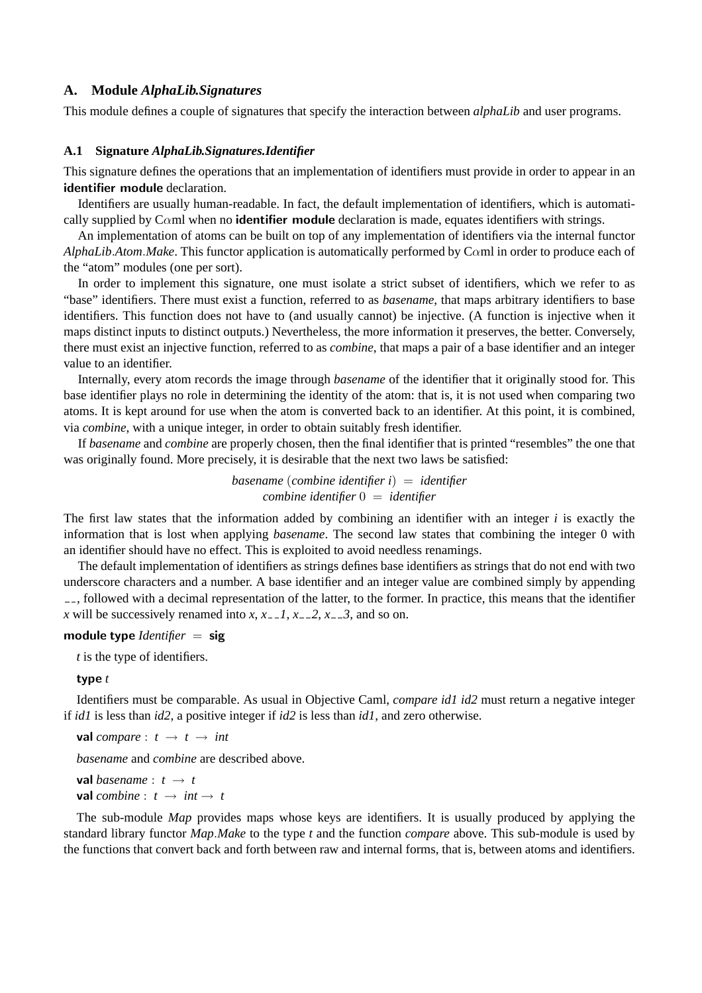### <span id="page-8-0"></span>**A. Module** *AlphaLib.Signatures*

This module defines a couple of signatures that specify the interaction between *alphaLib* and user programs.

### **A.1 Signature** *AlphaLib.Signatures.Identifier*

This signature defines the operations that an implementation of identifiers must provide in order to appear in an identifier module declaration.

Identifiers are usually human-readable. In fact, the default implementation of identifiers, which is automatically supplied by C $\alpha$ ml when no **identifier module** declaration is made, equates identifiers with strings.

An implementation of atoms can be built on top of any implementation of identifiers via the internal functor *AlphaLib*.*Atom*.*Make*. This functor application is automatically performed by Cαml in order to produce each of the "atom" modules (one per sort).

In order to implement this signature, one must isolate a strict subset of identifiers, which we refer to as "base" identifiers. There must exist a function, referred to as *basename*, that maps arbitrary identifiers to base identifiers. This function does not have to (and usually cannot) be injective. (A function is injective when it maps distinct inputs to distinct outputs.) Nevertheless, the more information it preserves, the better. Conversely, there must exist an injective function, referred to as *combine*, that maps a pair of a base identifier and an integer value to an identifier.

Internally, every atom records the image through *basename* of the identifier that it originally stood for. This base identifier plays no role in determining the identity of the atom: that is, it is not used when comparing two atoms. It is kept around for use when the atom is converted back to an identifier. At this point, it is combined, via *combine*, with a unique integer, in order to obtain suitably fresh identifier.

If *basename* and *combine* are properly chosen, then the final identifier that is printed "resembles" the one that was originally found. More precisely, it is desirable that the next two laws be satisfied:

### *basename* (*combine identifier i*) = *identifier combine identifier* 0 = *identifier*

The first law states that the information added by combining an identifier with an integer *i* is exactly the information that is lost when applying *basename*. The second law states that combining the integer 0 with an identifier should have no effect. This is exploited to avoid needless renamings.

The default implementation of identifiers as strings defines base identifiers as strings that do not end with two underscore characters and a number. A base identifier and an integer value are combined simply by appending  $\epsilon$ , followed with a decimal representation of the latter, to the former. In practice, this means that the identifier *x* will be successively renamed into *x*,  $x = 1$ ,  $x = 2$ ,  $x = 3$ , and so on.

#### module type *Identifier* = sig

*t* is the type of identifiers.

### type *t*

Identifiers must be comparable. As usual in Objective Caml, *compare id1 id2* must return a negative integer if *id1* is less than *id2*, a positive integer if *id2* is less than *id1*, and zero otherwise.

**val** *compare* :  $t \rightarrow t \rightarrow int$ 

*basename* and *combine* are described above.

**val** *basename* :  $t \rightarrow t$ **val** *combine* :  $t \rightarrow int \rightarrow t$ 

The sub-module *Map* provides maps whose keys are identifiers. It is usually produced by applying the standard library functor *Map*.*Make* to the type *t* and the function *compare* above. This sub-module is used by the functions that convert back and forth between raw and internal forms, that is, between atoms and identifiers.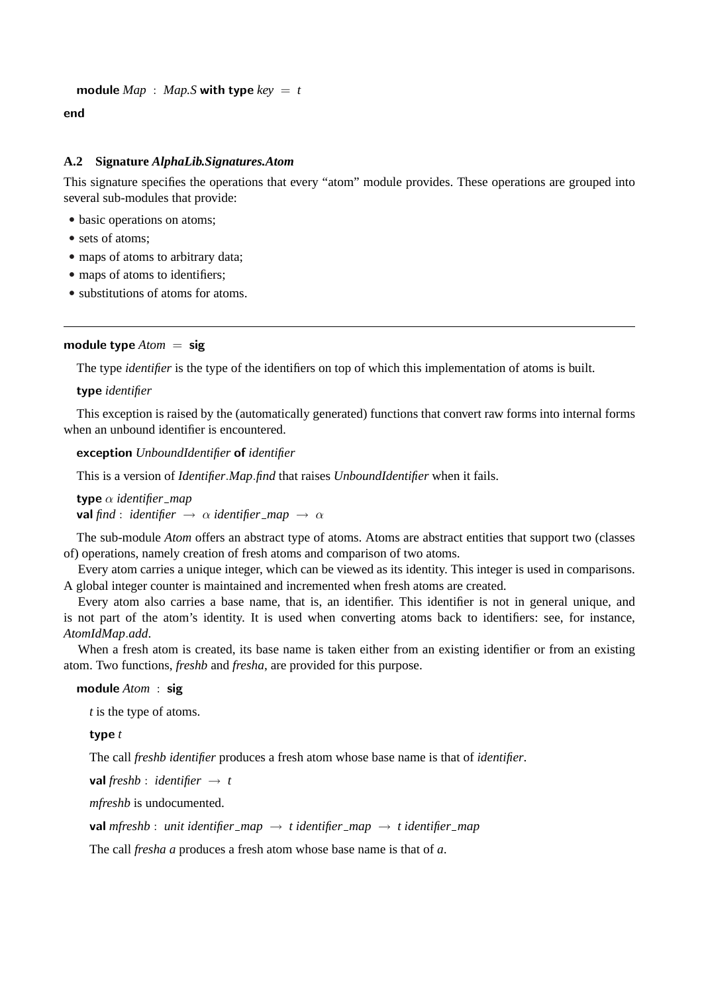```
module Map : Map.S with type key = t
```
end

# **A.2 Signature** *AlphaLib.Signatures.Atom*

This signature specifies the operations that every "atom" module provides. These operations are grouped into several sub-modules that provide:

- basic operations on atoms;
- sets of atoms:
- maps of atoms to arbitrary data;
- maps of atoms to identifiers;
- substitutions of atoms for atoms.

# module type  $Atom = sig$

The type *identifier* is the type of the identifiers on top of which this implementation of atoms is built.

# type *identifier*

This exception is raised by the (automatically generated) functions that convert raw forms into internal forms when an unbound identifier is encountered.

exception *UnboundIdentifier* of *identifier*

This is a version of *Identifier*.*Map*.*find* that raises *UnboundIdentifier* when it fails.

type α *identifier map* **val** find : *identifier*  $\rightarrow \alpha$  *identifier\_map*  $\rightarrow \alpha$ 

The sub-module *Atom* offers an abstract type of atoms. Atoms are abstract entities that support two (classes of) operations, namely creation of fresh atoms and comparison of two atoms.

Every atom carries a unique integer, which can be viewed as its identity. This integer is used in comparisons. A global integer counter is maintained and incremented when fresh atoms are created.

Every atom also carries a base name, that is, an identifier. This identifier is not in general unique, and is not part of the atom's identity. It is used when converting atoms back to identifiers: see, for instance, *AtomIdMap*.*add*.

When a fresh atom is created, its base name is taken either from an existing identifier or from an existing atom. Two functions, *freshb* and *fresha*, are provided for this purpose.

### module *Atom* : sig

*t* is the type of atoms.

type *t*

The call *freshb identifier* produces a fresh atom whose base name is that of *identifier*.

**val** *freshb* : *identifier*  $\rightarrow$  *t* 

*mfreshb* is undocumented.

```
val mfreshb : unit identifier_map \rightarrow t identifier_map \rightarrow t identifier_map
```
The call *fresha a* produces a fresh atom whose base name is that of *a*.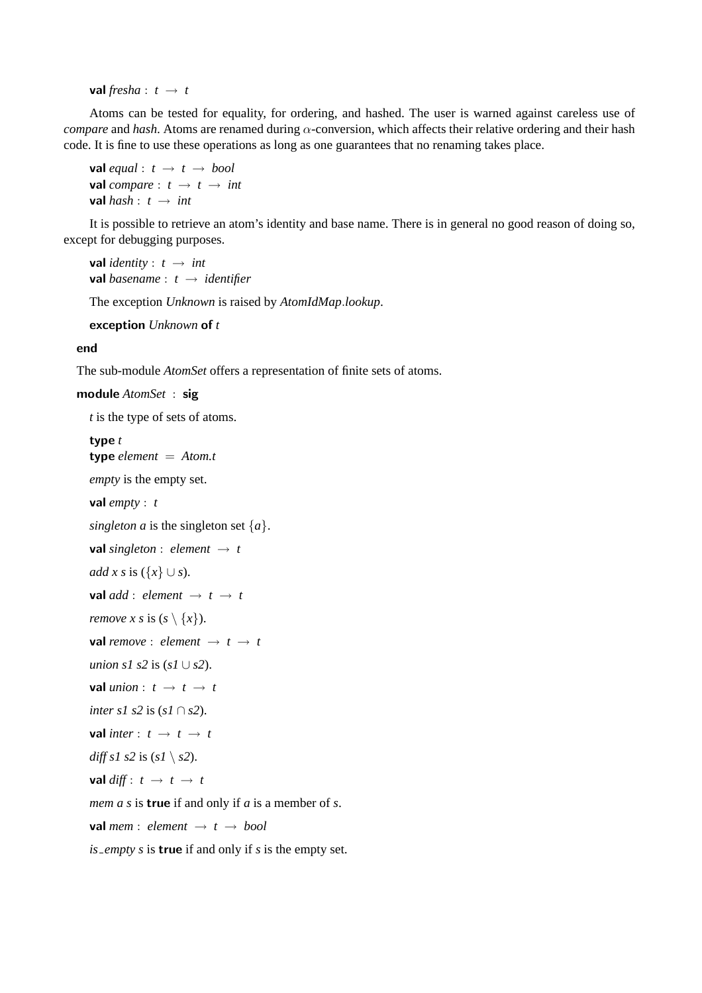**val** *fresha* :  $t \rightarrow t$ 

Atoms can be tested for equality, for ordering, and hashed. The user is warned against careless use of *compare* and *hash*. Atoms are renamed during α-conversion, which affects their relative ordering and their hash code. It is fine to use these operations as long as one guarantees that no renaming takes place.

```
val equal : t \rightarrow t \rightarrow boolval compare : t \rightarrow t \rightarrow intval hash: t \rightarrow int
```
It is possible to retrieve an atom's identity and base name. There is in general no good reason of doing so, except for debugging purposes.

```
val identity : t \rightarrow intval basename : t → identifier
```
The exception *Unknown* is raised by *AtomIdMap*.*lookup*.

exception *Unknown* of *t*

#### end

The sub-module *AtomSet* offers a representation of finite sets of atoms.

module *AtomSet* : sig

*t* is the type of sets of atoms.

### type *t*

```
type element = Atom.t
empty is the empty set.
val empty : t
singleton a is the singleton set {a}.
val singleton : element \rightarrow t
add x s is ({x} \cup s).
val add : element \rightarrow t \rightarrow t
remove x s is (s \setminus \{x\}).
val remove : element \rightarrow t \rightarrow t
union s1 s2 is (sI \cup s2).
val union : t \rightarrow t \rightarrow tinter s1 s2 is (s1 ∩ s2).
val inter : t \rightarrow t \rightarrow tdiff s1 s2 is (s1 \setminus s2).
val diff: t \rightarrow t \rightarrow tmem a s is true if and only if a is a member of s.
val mem : element \rightarrow t \rightarrow bool
is empty s is true if and only if s is the empty set.
```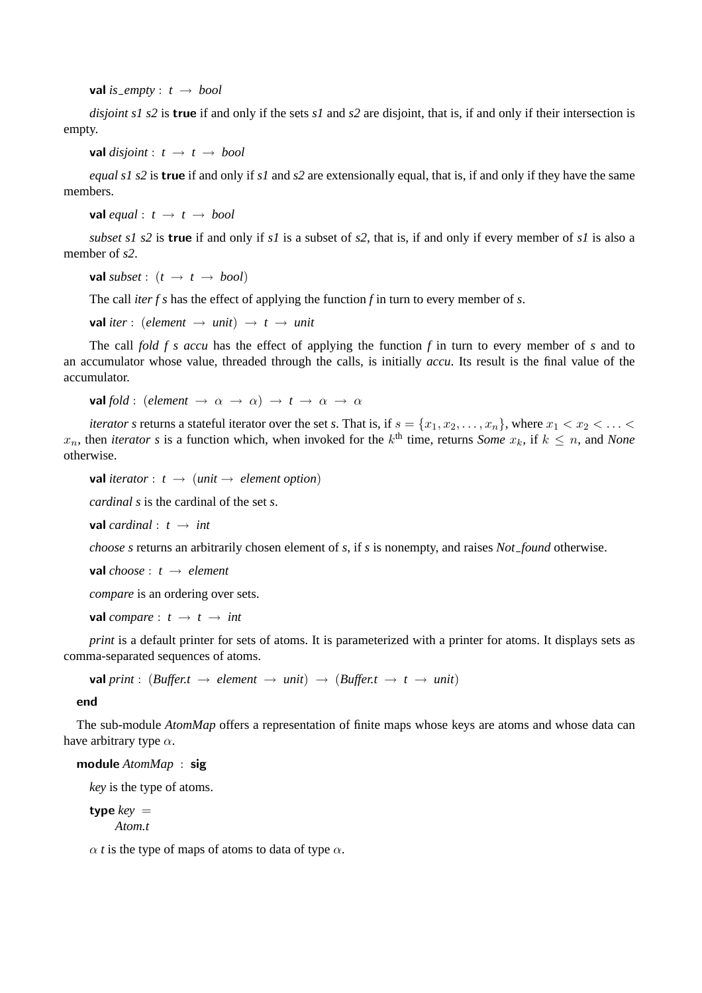val *is*\_empty :  $t \rightarrow bool$ 

*disjoint s1 s2* is true if and only if the sets *s1* and *s2* are disjoint, that is, if and only if their intersection is empty.

**val** *disjoint* :  $t \rightarrow t \rightarrow bool$ 

*equal s1 s2* is true if and only if *s1* and *s2* are extensionally equal, that is, if and only if they have the same members.

**val** *equal* :  $t \rightarrow t \rightarrow bool$ 

*subset s1 s2* is true if and only if *s1* is a subset of *s2*, that is, if and only if every member of *s1* is also a member of *s2*.

**val** *subset* :  $(t \rightarrow t \rightarrow bool)$ 

The call *iter f s* has the effect of applying the function *f* in turn to every member of *s*.

 $val$  *iter* : (*element*  $\rightarrow$  *unit*)  $\rightarrow$  *t*  $\rightarrow$  *unit* 

The call *fold f s accu* has the effect of applying the function *f* in turn to every member of *s* and to an accumulator whose value, threaded through the calls, is initially *accu*. Its result is the final value of the accumulator.

**val** *fold* : (*element*  $\rightarrow \alpha \rightarrow \alpha$ )  $\rightarrow t \rightarrow \alpha \rightarrow \alpha$ 

*iterator s* returns a stateful iterator over the set *s*. That is, if  $s = \{x_1, x_2, \ldots, x_n\}$ , where  $x_1 < x_2 < \ldots <$  $x_n$ , then *iterator s* is a function which, when invoked for the  $k^{\text{th}}$  time, returns *Some*  $x_k$ , if  $k \leq n$ , and *None* otherwise.

**val** *iterator* :  $t \rightarrow (unit \rightarrow element option)$ 

*cardinal s* is the cardinal of the set *s*.

**val** *cardinal* :  $t \rightarrow int$ 

*choose s* returns an arbitrarily chosen element of *s*, if *s* is nonempty, and raises *Not found* otherwise.

**val** *choose* :  $t \rightarrow element$ 

*compare* is an ordering over sets.

**val** *compare* :  $t \rightarrow t \rightarrow int$ 

*print* is a default printer for sets of atoms. It is parameterized with a printer for atoms. It displays sets as comma-separated sequences of atoms.

**val** print : (Buffert  $\rightarrow$  element  $\rightarrow$  unit)  $\rightarrow$  (Buffert  $\rightarrow$  t  $\rightarrow$  unit)

end

The sub-module *AtomMap* offers a representation of finite maps whose keys are atoms and whose data can have arbitrary type  $\alpha$ .

### module *AtomMap* : sig

*key* is the type of atoms.

type  $key =$ *Atom.t*

 $\alpha$  *t* is the type of maps of atoms to data of type  $\alpha$ .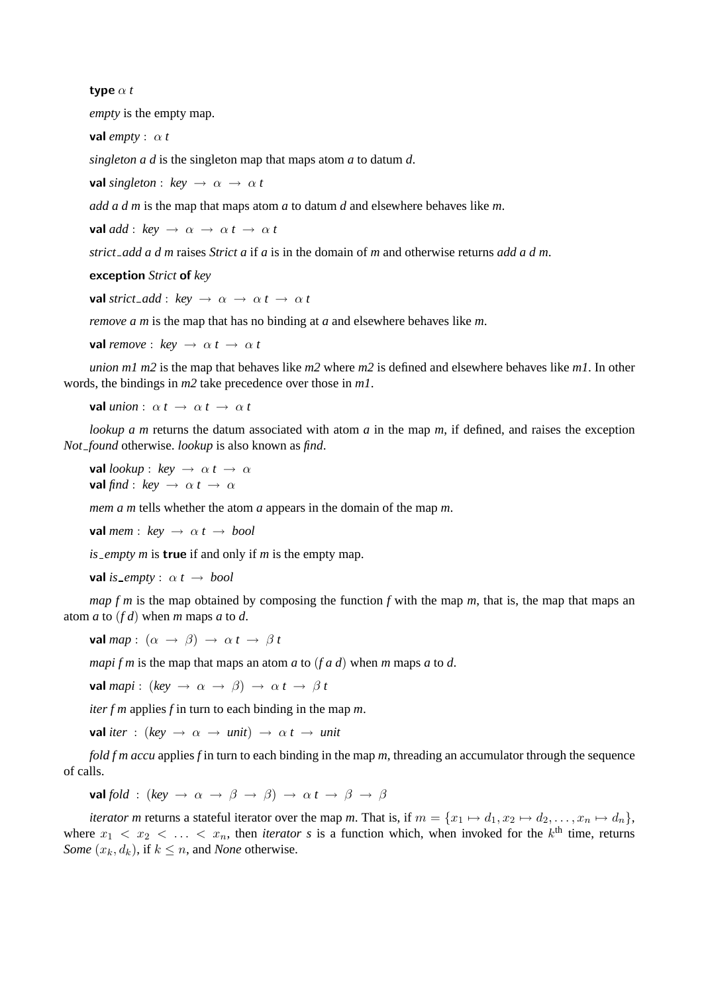#### type α *t*

*empty* is the empty map.

**val**  $\textit{empty}: \alpha \textit{t}$ 

*singleton a d* is the singleton map that maps atom *a* to datum *d*.

**val** *singleton* :  $key \rightarrow \alpha \rightarrow \alpha t$ 

*add a d m* is the map that maps atom *a* to datum *d* and elsewhere behaves like *m*.

**val** *add* :  $key \rightarrow \alpha \rightarrow \alpha t \rightarrow \alpha t$ 

*strict add a d m* raises *Strict a* if *a* is in the domain of *m* and otherwise returns *add a d m*.

exception *Strict* of *key*

**val** *strict\_add* :  $key \rightarrow \alpha \rightarrow \alpha t \rightarrow \alpha t$ 

*remove a m* is the map that has no binding at *a* and elsewhere behaves like *m*.

**val** *remove* :  $kev \rightarrow \alpha t \rightarrow \alpha t$ 

*union m1 m2* is the map that behaves like *m2* where *m2* is defined and elsewhere behaves like *m1*. In other words, the bindings in *m2* take precedence over those in *m1*.

**val** *union* :  $\alpha t \rightarrow \alpha t \rightarrow \alpha t$ 

*lookup a m* returns the datum associated with atom *a* in the map *m*, if defined, and raises the exception *Not found* otherwise. *lookup* is also known as *find*.

**val** *lookup* : *key*  $\rightarrow \alpha$ *t*  $\rightarrow \alpha$ **val** *find* :  $key \rightarrow \alpha t \rightarrow \alpha$ 

*mem a m* tells whether the atom *a* appears in the domain of the map *m*.

**val** *mem* :  $key \rightarrow \alpha t \rightarrow bool$ 

*is empty m* is true if and only if *m* is the empty map.

**val** *is*\_empty :  $\alpha t \rightarrow bool$ 

*map f m* is the map obtained by composing the function *f* with the map *m*, that is, the map that maps an atom *a* to (*f d*) when *m* maps *a* to *d*.

val *map* :  $(\alpha \rightarrow \beta) \rightarrow \alpha t \rightarrow \beta t$ 

*mapi f m* is the map that maps an atom *a* to (*f a d*) when *m* maps *a* to *d*.

**val** *mapi* : (*key*  $\rightarrow \alpha \rightarrow \beta$ )  $\rightarrow \alpha t \rightarrow \beta t$ 

*iter f m* applies *f* in turn to each binding in the map *m*.

**val** *iter* : (*key*  $\rightarrow \alpha \rightarrow \text{unit}$ )  $\rightarrow \alpha \text{ } t \rightarrow \text{unit}$ 

*fold f m accu* applies *f* in turn to each binding in the map *m*, threading an accumulator through the sequence of calls.

**val** *fold* : (*key*  $\rightarrow \alpha \rightarrow \beta \rightarrow \beta$ )  $\rightarrow \alpha t \rightarrow \beta \rightarrow \beta$ 

*iterator m* returns a stateful iterator over the map *m*. That is, if  $m = \{x_1 \mapsto d_1, x_2 \mapsto d_2, \ldots, x_n \mapsto d_n\}$ , where  $x_1 < x_2 < \ldots < x_n$ , then *iterator* s is a function which, when invoked for the  $k^{\text{th}}$  time, returns *Some*  $(x_k, d_k)$ , if  $k \leq n$ , and *None* otherwise.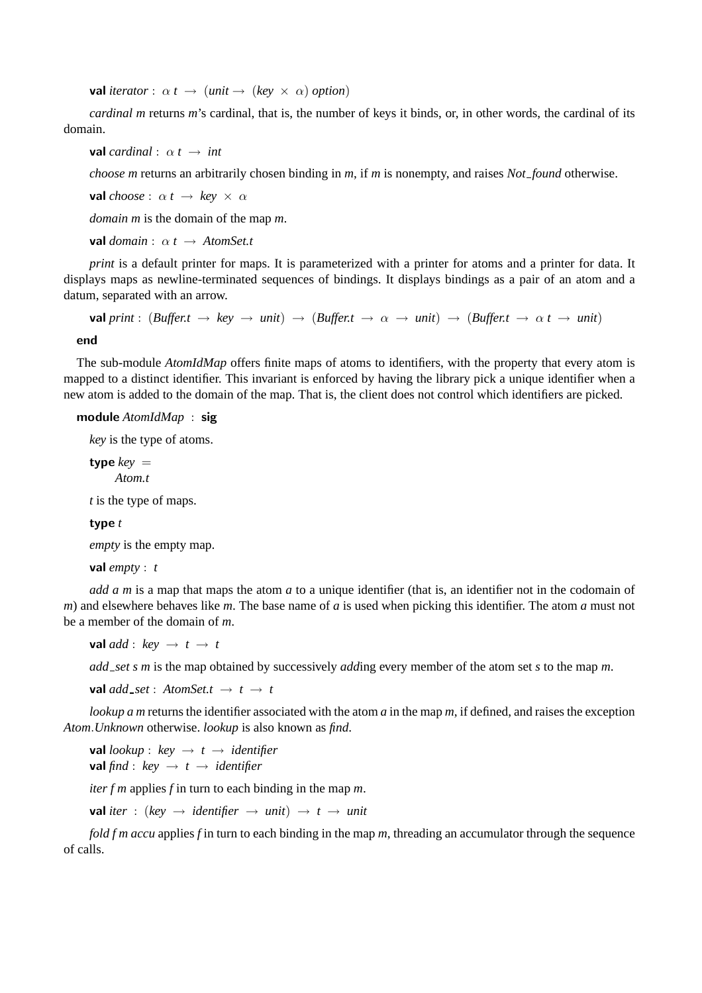val *iterator* :  $\alpha t \rightarrow (unit \rightarrow (key \times \alpha)$  *option*)

*cardinal m* returns *m*'s cardinal, that is, the number of keys it binds, or, in other words, the cardinal of its domain.

**val** *cardinal* :  $\alpha t \rightarrow int$ 

*choose m* returns an arbitrarily chosen binding in *m*, if *m* is nonempty, and raises *Not found* otherwise.

**val** *choose* :  $\alpha t \rightarrow key \times \alpha$ 

*domain m* is the domain of the map *m*.

**val** *domain* :  $\alpha t \rightarrow$  *AtomSet.t* 

*print* is a default printer for maps. It is parameterized with a printer for atoms and a printer for data. It displays maps as newline-terminated sequences of bindings. It displays bindings as a pair of an atom and a datum, separated with an arrow.

 $val print: (Buffer.t \rightarrow key \rightarrow unit) \rightarrow (Buffer.t \rightarrow \alpha \rightarrow unit) \rightarrow (Buffer.t \rightarrow anti \rightarrow unit)$ 

end

The sub-module *AtomIdMap* offers finite maps of atoms to identifiers, with the property that every atom is mapped to a distinct identifier. This invariant is enforced by having the library pick a unique identifier when a new atom is added to the domain of the map. That is, the client does not control which identifiers are picked.

### module *AtomIdMap* : sig

*key* is the type of atoms.

type  $key =$ *Atom.t*

*t* is the type of maps.

# type *t*

*empty* is the empty map.

val *empty* : *t*

*add a m* is a map that maps the atom *a* to a unique identifier (that is, an identifier not in the codomain of *m*) and elsewhere behaves like *m*. The base name of *a* is used when picking this identifier. The atom *a* must not be a member of the domain of *m*.

**val** *add* :  $key \rightarrow t \rightarrow t$ 

*add set s m* is the map obtained by successively *add*ing every member of the atom set *s* to the map *m*.

**val** *add*  $_set$  :  $Atomic$   $A$ *tomSet.t*  $\rightarrow$   $t \rightarrow t$ 

*lookup a m* returns the identifier associated with the atom *a* in the map *m*, if defined, and raises the exception *Atom*.*Unknown* otherwise. *lookup* is also known as *find*.

**val** *lookup* : *key*  $\rightarrow$  *t*  $\rightarrow$  *identifier* **val**  $\text{find}: \text{key} \rightarrow t \rightarrow \text{ identifier}$ 

*iter f m* applies *f* in turn to each binding in the map *m*.

**val** *iter* : (*key*  $\rightarrow$  *identifier*  $\rightarrow$  *unit*)  $\rightarrow$  *t*  $\rightarrow$  *unit* 

*fold f m accu* applies *f* in turn to each binding in the map *m*, threading an accumulator through the sequence of calls.